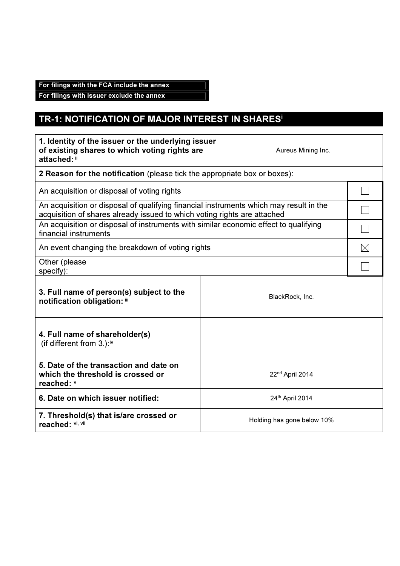## For filings with the FCA include the annex

For filings with issuer exclude the annex

## TR-1: NOTIFICATION OF MAJOR INTEREST IN SHARES<sup>i</sup>

| 1. Identity of the issuer or the underlying issuer<br>of existing shares to which voting rights are<br>Aureus Mining Inc.<br>attached: ii                          |  |  |  |
|--------------------------------------------------------------------------------------------------------------------------------------------------------------------|--|--|--|
| 2 Reason for the notification (please tick the appropriate box or boxes):                                                                                          |  |  |  |
| An acquisition or disposal of voting rights                                                                                                                        |  |  |  |
| An acquisition or disposal of qualifying financial instruments which may result in the<br>acquisition of shares already issued to which voting rights are attached |  |  |  |
| An acquisition or disposal of instruments with similar economic effect to qualifying<br>financial instruments                                                      |  |  |  |
| An event changing the breakdown of voting rights                                                                                                                   |  |  |  |
| Other (please<br>specify):                                                                                                                                         |  |  |  |
| 3. Full name of person(s) subject to the<br>BlackRock, Inc.<br>notification obligation: iii                                                                        |  |  |  |
| 4. Full name of shareholder(s)<br>(if different from $3.$ ): <sup>iv</sup>                                                                                         |  |  |  |
| 5. Date of the transaction and date on<br>which the threshold is crossed or<br>22 <sup>nd</sup> April 2014<br>reached: V                                           |  |  |  |
| 6. Date on which issuer notified:<br>24th April 2014                                                                                                               |  |  |  |
| 7. Threshold(s) that is/are crossed or<br>Holding has gone below 10%<br>reached: Vi, Vii                                                                           |  |  |  |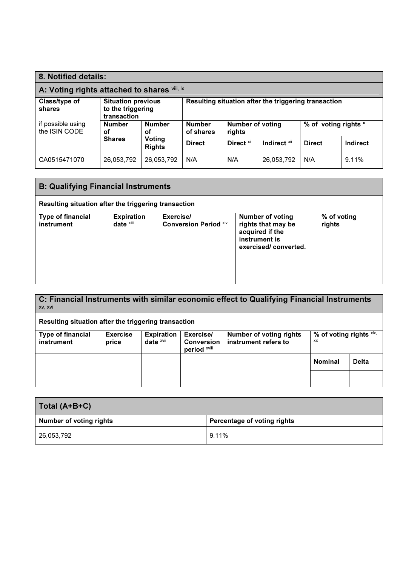| 8. Notified details:                         |                                                               |               |                                                                 |                         |                      |          |          |
|----------------------------------------------|---------------------------------------------------------------|---------------|-----------------------------------------------------------------|-------------------------|----------------------|----------|----------|
| A: Voting rights attached to shares vili, ix |                                                               |               |                                                                 |                         |                      |          |          |
| Class/type of<br>shares                      | <b>Situation previous</b><br>to the triggering<br>transaction |               | Resulting situation after the triggering transaction            |                         |                      |          |          |
| if possible using<br>the ISIN CODE           | <b>Number</b><br><b>Number</b><br>οf<br>οf                    |               | <b>Number of voting</b><br><b>Number</b><br>of shares<br>rights |                         | % of voting rights x |          |          |
|                                              | Voting<br><b>Shares</b><br><b>Rights</b>                      | <b>Direct</b> | Direct <sup>xi</sup>                                            | Indirect <sup>xii</sup> | <b>Direct</b>        | Indirect |          |
| CA0515471070                                 | 26,053,792                                                    | 26,053,792    | N/A                                                             | N/A                     | 26,053,792           | N/A      | $9.11\%$ |

| <b>B: Qualifying Financial Instruments</b>           |                                   |                                           |                                                                                                           |                       |  |
|------------------------------------------------------|-----------------------------------|-------------------------------------------|-----------------------------------------------------------------------------------------------------------|-----------------------|--|
| Resulting situation after the triggering transaction |                                   |                                           |                                                                                                           |                       |  |
| <b>Type of financial</b><br>instrument               | <b>Expiration</b><br>date $x$ iii | Exercise/<br><b>Conversion Period Xiv</b> | <b>Number of voting</b><br>rights that may be<br>acquired if the<br>instrument is<br>exercised/converted. | % of voting<br>rights |  |
|                                                      |                                   |                                           |                                                                                                           |                       |  |

| C: Financial Instruments with similar economic effect to Qualifying Financial Instruments<br>XV, XVI |                          |                                              |                                                |                                                 |                               |              |
|------------------------------------------------------------------------------------------------------|--------------------------|----------------------------------------------|------------------------------------------------|-------------------------------------------------|-------------------------------|--------------|
| Resulting situation after the triggering transaction                                                 |                          |                                              |                                                |                                                 |                               |              |
| <b>Type of financial</b><br>instrument                                                               | <b>Exercise</b><br>price | <b>Expiration</b><br>date $x$ <sup>vii</sup> | Exercise/<br><b>Conversion</b><br>period xviii | Number of voting rights<br>instrument refers to | % of voting rights xix,<br>XX |              |
|                                                                                                      |                          |                                              |                                                |                                                 | <b>Nominal</b>                | <b>Delta</b> |
|                                                                                                      |                          |                                              |                                                |                                                 |                               |              |

| Total (A+B+C)           |                             |  |  |  |
|-------------------------|-----------------------------|--|--|--|
| Number of voting rights | Percentage of voting rights |  |  |  |
| 26,053,792              | 9.11%                       |  |  |  |
|                         |                             |  |  |  |